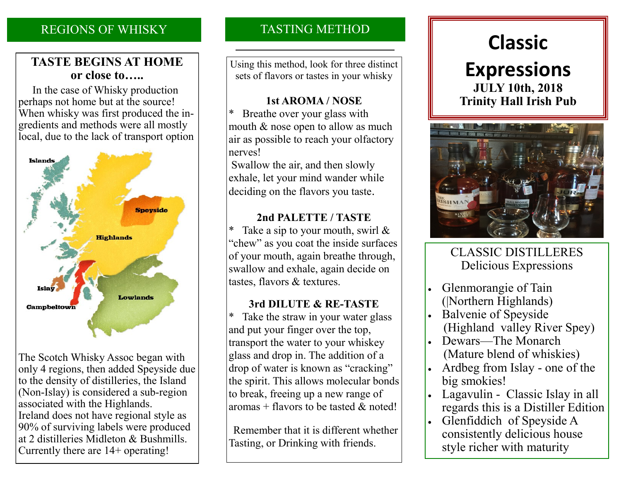# REGIONS OF WHISKY

### **TASTE BEGINS AT HOME or close to…..**

 In the case of Whisky production perhaps not home but at the source! When whisky was first produced the ingredients and methods were all mostly local, due to the lack of transport option



The Scotch Whisky Assoc began with only 4 regions, then added Speyside due to the density of distilleries, the Island (Non-Islay) is considered a sub-region associated with the Highlands. Ireland does not have regional style as 90% of surviving labels were produced at 2 distilleries Midleton & Bushmills. Currently there are 14+ operating!

# TASTING METHOD

Using this method, look for three distinct sets of flavors or tastes in your whisky

### **1st AROMA / NOSE**

Breathe over your glass with mouth & nose open to allow as much air as possible to reach your olfactory nerves!

Swallow the air, and then slowly exhale, let your mind wander while deciding on the flavors you taste.

### **2nd PALETTE / TASTE**

Take a sip to your mouth, swirl  $\&$ "chew" as you coat the inside surfaces of your mouth, again breathe through, swallow and exhale, again decide on tastes, flavors & textures.

### **3rd DILUTE & RE-TASTE**

\* Take the straw in your water glass and put your finger over the top, transport the water to your whiskey glass and drop in. The addition of a drop of water is known as "cracking" the spirit. This allows molecular bonds to break, freeing up a new range of aromas + flavors to be tasted  $\&$  noted!

 Remember that it is different whether Tasting, or Drinking with friends.

# **Classic Expressions JULY 10th, 2018**

**Trinity Hall Irish Pub** 



# CLASSIC DISTILLERES Delicious Expressions

- Glenmorangie of Tain (|Northern Highlands)
- Balvenie of Speyside (Highland valley River Spey)
- Dewars—The Monarch (Mature blend of whiskies)
- Ardbeg from Islay one of the big smokies!
- Lagavulin Classic Islay in all regards this is a Distiller Edition
- Glenfiddich of Speyside A consistently delicious house style richer with maturity